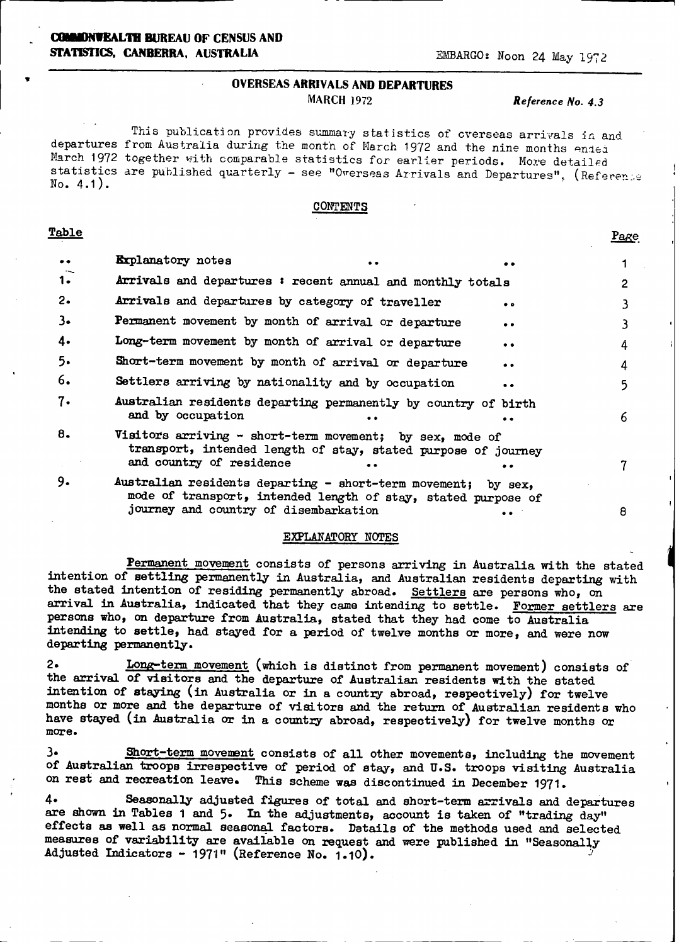## OVERSEAS **ARRIVALS AND DEPARTURES** MARCH 1972 *Reference No. 4.3*

Page

This publication provides summary statistics of overseas arrivals in and departures from Australia during the month of March 1972 and the nine months ended March 1972 together with comparable statistics for earlier periods. More detailed statistics are published quarterly - see "Overseas Arrivals and Departures", (Reference  $No. 4.1).$ 

### CONTENTS

### Table

| $\bullet\bullet$ | <b>Explanatory</b> notes                                                                                                                              | $\bullet\bullet$ |                     |   |
|------------------|-------------------------------------------------------------------------------------------------------------------------------------------------------|------------------|---------------------|---|
| 1.               | Arrivals and departures : recent annual and monthly totals                                                                                            |                  |                     | 2 |
| $2\cdot$         | Arrivals and departures by category of traveller                                                                                                      |                  | $\bullet$ $\bullet$ |   |
| 3.               | Permanent movement by month of arrival or departure                                                                                                   |                  | $\bullet$           |   |
| 4.               | Long-term movement by month of arrival or departure                                                                                                   |                  | $\bullet\bullet$    | 4 |
| 5.               | Short-term movement by month of arrival or departure                                                                                                  |                  | $\bullet$           | 4 |
| 6.               | Settlers arriving by nationality and by occupation                                                                                                    |                  | . .                 | 5 |
| 7.               | Australian residents departing permanently by country of birth<br>and by occupation                                                                   |                  |                     | 6 |
| 8.               | Visitors arriving - short-term movement; by sex, mode of<br>transport, intended length of stay, stated purpose of journey<br>and country of residence |                  |                     |   |
| 9.               | Australian residents departing - short-term movement; by sex,<br>mode of transport, intended length of stay, stated mirpose of                        |                  |                     |   |

## EXPLANATORY NOTES

journey and country of disembarkation .. 8

Permanent movement consists of persons arriving in Australia with the stated intention of settling permanently in Australia, and Australian residents departing with the stated intention of residing permanently abroad. Settlers are persons who, on arrival in Australia, indicated that they came intending to settle. Former settlers are persons who, on departure from Australia, stated that they had come to Australia intending to settle, had stayed for a period of twelve months or more, and were now departing permanently.

2. Long-term movement (which is distinct from permanent movement) consists of the arrival of visitors and the departure of Australian residents with the stated intention of staying (in Australia or in a country abroad, respectively) for twelve months or more and the departure of visitors and the return of Australian residents who have stayed **(in** Australia or in a country abroad, respectively) for twelve months or **more.**

3. Short-term movement consists of all other movements, including the movement of Australian troops irrespective of period of stay, and U.S. troops visiting Australia on rest and recreation leave. This scheme was discontinued in December 1971.

4. Seasonally adjusted figures of total and short-term arrivals and departures are shown in Tables 1 and 5. In the adjustments, account is taken of "trading day" effects as well as normal seasonal factors. Details of the methods used and selected measures of variability are available on request and were published in "Seasonally Adjusted Indicators - 197-1" (Reference No. 1.10).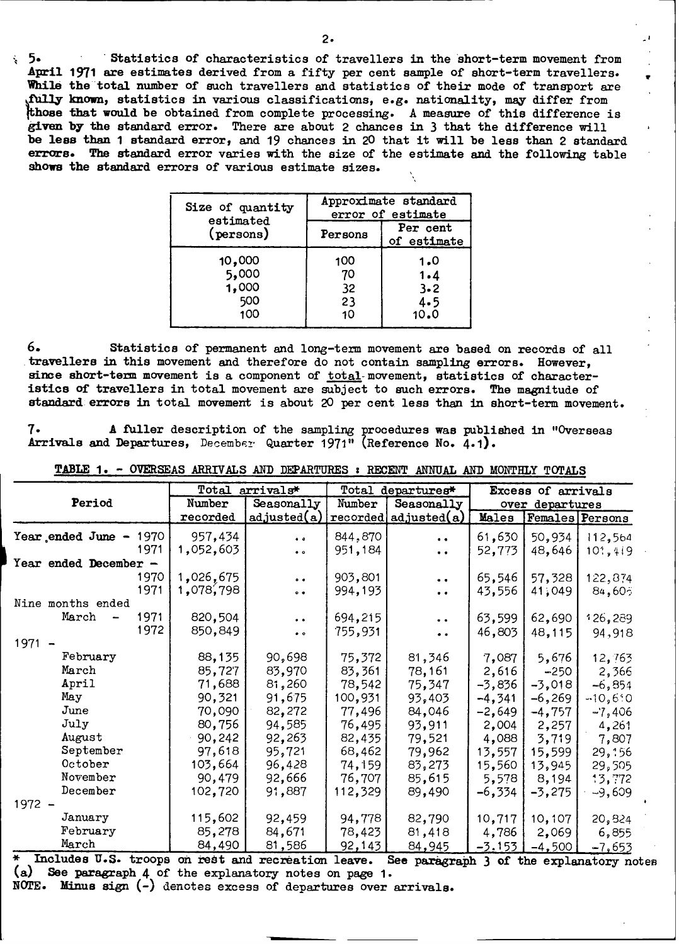**5.** Statistics of characteristics of travellers in the short-term movement from **April 1971** are estimates derived from a fifty per cent sample of short-term travellers. While the total number of such travellers and statistics of their mode of transport are **01-1.v** known, statistics in various classifications, e.g. nationality, may differ from **ose** that would be obtained from complete processing. A measure of this difference is **given by the** standard error. There are about **2** chances in **3** that the difference will be less than **1** standard error, and 19 chances in **<sup>20</sup>**that it will be less than **2 standard errors.** The standard error varies with the size of the estimate and the following table shows the standard errors of various estimate sizes.

| Size of quantity | Approximate standard |                         |  |  |  |  |
|------------------|----------------------|-------------------------|--|--|--|--|
| estimated        | error of estimate    |                         |  |  |  |  |
| (persons)        | Persons              | Per cent<br>of estimate |  |  |  |  |
| 10,000           | 100                  | 1.0                     |  |  |  |  |
| 5,000            | 70                   | 1.4                     |  |  |  |  |
| 1,000            | 32                   | $3 - 2$                 |  |  |  |  |
| 500              | 23                   | 4.5                     |  |  |  |  |
| 100              | 10                   | 10.0                    |  |  |  |  |

**6.** Statistics of permanent and long-term movement are based on records of all travellers in this movement and therefore do not contain sampling errors. However, since short-term movement is a component of total-movement, statistics of characteristics of travellers in total movement are subject to such errors. The magnitude of **standard:** errors in total movement is about **20** per cent less than in short-term movement.

**7. A** fuller description of the sampling procedures was published in "Overseas Arrivals and Departures, December Quarter 1971" (Reference No. 4.1).

|                             | Total     | arrivals*            |         | Total departures*     | Excess of arrivals |                 |           |
|-----------------------------|-----------|----------------------|---------|-----------------------|--------------------|-----------------|-----------|
| Period                      | Number    | Seasonally           | Number  | Seasonally            |                    | over departures |           |
|                             | recorded  | adjusted(a)          |         | reordered adjusted(a) | Males              | Females Persons |           |
| Year ended June $-$<br>1970 | 957,434   | $\bullet$ $\circ$    | 844,870 | $\bullet$             | 61,630             | 50,934          | 112,564   |
| 1971                        | 1,052,603 | $\bullet$ $\circ$    | 951,184 | $\bullet$             | 52,773             | 48,646          | 101,419   |
| Year ended December -       |           |                      |         |                       |                    |                 |           |
| 1970                        | 1,026,675 | $^{\circ}$           | 903,801 | $\ddot{\phantom{0}}$  | 65,546             | 57,328          | 122,874   |
| 1971                        | 1,078,798 | $\bullet$ $\bullet$  | 994,193 | $\bullet$             | 43,556             | 41,049          | 84,60;    |
| Nine months ended           |           |                      |         |                       |                    |                 |           |
| 1971<br>March               | 820,504   | $\ddot{\phantom{0}}$ | 694,215 | $\ddot{\phantom{0}}$  | 63,599             | 62,690          | 126,289   |
| 1972                        | 850,849   | $\bullet$ $\circ$    | 755,931 | $\bullet$ $\bullet$   | 46,803             | 48,115          | 94,918    |
| 1971                        |           |                      |         |                       |                    |                 |           |
| February                    | 88,135    | 90,698               | 75,372  | 81,346                | 7,087              | 5,676           | 12,763    |
| March                       | 85,727    | 83,970               | 83,361  | 78,161                | 2,616              | $-250$          | 2,366     |
| April                       | 71,688    | 81,260               | 78,542  | 75,347                | $-3,836$           | $-3,018$        | $-6,854$  |
| May                         | 90,321    | 91,675               | 100,931 | 93,403                | $-4,341$           | $-6,269$        | $-10,6.0$ |
| June                        | 70,090    | 82,272               | 77,496  | 84,046                | $-2,649$           | $-4,757$        | $-7,406$  |
| July                        | 80,756    | 94,585               | 76,495  | 93,911                | 2,004              | 2,257           | 4,261     |
| August                      | 90,242    | 92,263               | 82,435  | 79,521                | 4,088              | 3,719           | 7,807     |
| September                   | 97,618    | 95,721               | 68,462  | 79,962                | 13,557             | 15,599          | 29,156    |
| October                     | 103,664   | 96,428               | 74,159  | 83,273                | 15,560             | 13,945          | 29,505    |
| November                    | 90,479    | 92,666               | 76,707  | 85,615                | 5,578              | 8,194           | 13,772    |
| December                    | 102,720   | 91,887               | 112,329 | 89,490                | $-6,334$           | $-3,275$        | $-9,609$  |
| 1972 -                      |           |                      |         |                       |                    |                 |           |
| January                     | 115,602   | 92,459               | 94,778  | 82,790                | 10,717             | 10,107          | 20,824    |
| February                    | 85,278    | 84,671               | 78,423  | 81,418                | 4,786              | 2,069           | 6,855     |
| March                       | 84,490    | 81,586               | 92,143  | 84,945                | $-3.153$           | $-4,500$        | $-7,653$  |

**TABLE 1.** - OVERSEAS ARRIVALS AND DEPARTURES **s** RECENT ANNUAL AND MONTHLY **TOTALS**

**\*** Includes U.S. troops **on** rest and rec **reation** leave. **See** paragraph 3 of the explanatory notes (a) See paragraph 4 of the explanatory notes on page 1. **NOTE. Minus sign** (-) denotes excess of departures over arrivals.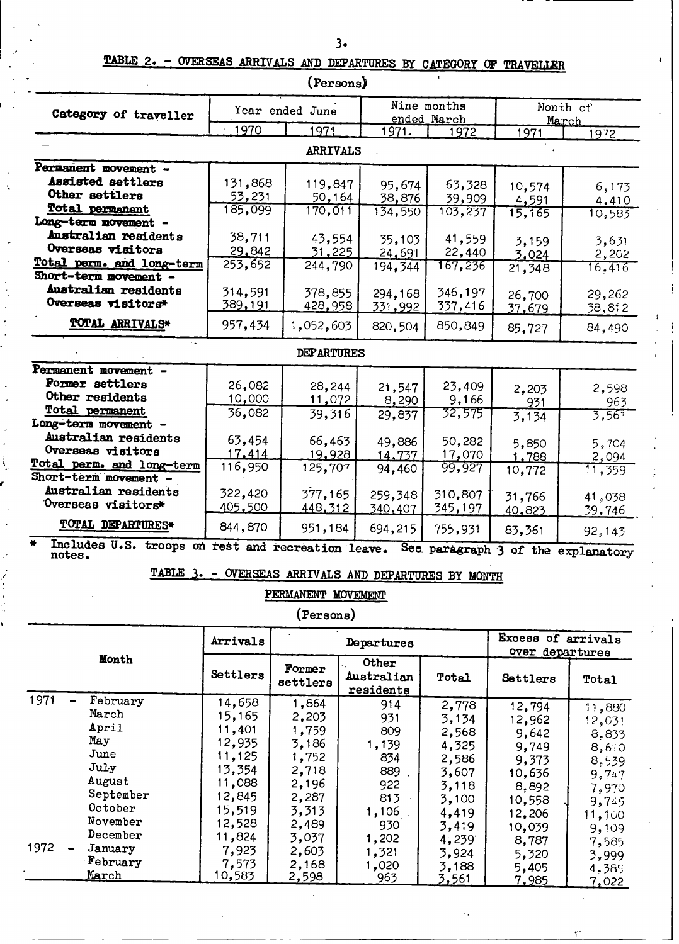# **TABLE 2. - OVERSEAS ARRIVALS AND DEPARTURES BY CATEGORY OF TRAVELLER**

|                                                                    |                | (Persons)         |         |                            |                   |                                    |  |
|--------------------------------------------------------------------|----------------|-------------------|---------|----------------------------|-------------------|------------------------------------|--|
| Category of traveller                                              |                | Year ended June   |         | Nine months<br>ended March | Month of<br>March |                                    |  |
|                                                                    | 1970           | 1971              | 1971.   | 1972                       | 1971              | 1972                               |  |
|                                                                    |                | ARRIVALS          |         |                            |                   |                                    |  |
| Permanent movement -                                               |                |                   |         |                            |                   |                                    |  |
| <b>Assisted settlers</b>                                           | 131,868        | 119,847           | 95,674  | 63,328                     | 10,574            | 6,173                              |  |
| Other settlers                                                     | 53,231         | 50,164            | 38,876  | 39,909                     | 4,591             | 4,410                              |  |
| <b>Total permanent</b>                                             | 185,099        | 170,011           | 134,550 | 103,237                    | 15,165            | 10,583                             |  |
| Long-term novement -                                               |                |                   |         |                            |                   |                                    |  |
| Australian residents                                               | 38,711         | 43,554            | 35,103  | 41,559                     | 3,159             | 3,631                              |  |
| Overseas visitors                                                  | 29,842         | <u>31,225</u>     | 24,691  | 22,440                     | 3,024             | 2,202                              |  |
| Total perm. and long-term                                          | 253,652        | 244,790           | 194,344 | 167,236                    | 21,348            | 16.416                             |  |
| Short-term movement -                                              |                |                   |         |                            |                   |                                    |  |
| Australian residents                                               | 314,591        | 378,855           | 294,168 | 346,197                    | 26,700            | 29,262                             |  |
| Overseas visitors*                                                 | <u>389,191</u> | 428,958           | 331,992 | 337,416                    | 37,679            | 38,812                             |  |
| <b>TOTAL ARRIVALS*</b>                                             | 957,434        | 1,052,603         | 820,504 | 850,849                    | 85,727            | 84,490                             |  |
|                                                                    |                | <b>DEPARTURES</b> |         |                            |                   |                                    |  |
| Permanent movement -                                               |                |                   |         |                            |                   |                                    |  |
| Former settlers                                                    | 26,082         | 28,244            | 21,547  | 23,409                     | 2,203             | 2,598                              |  |
| Other residents                                                    | 10,000         | 11,072            | 8,290   | 9,166                      | 931               | 963                                |  |
| Total permanent                                                    | 36,082         | 39,316            | 29,837  | 32,575                     | 3,134             | 3,567                              |  |
| Long-term movement -                                               |                |                   |         |                            |                   |                                    |  |
| Australian residents                                               | 63,454         | 66,463            | 49,886  | 50,282                     | 5,850             | 5,704                              |  |
| Overseas visitors                                                  | 17,414         | 19,928            | 14,737  | 17,070                     | 1,788             | 2,094                              |  |
| Total perm. and long-term                                          | 116,950        | 125,707           | 94,460  | 99,927                     | 10,772            | 11,359                             |  |
| Short-term movement -                                              |                |                   |         |                            |                   |                                    |  |
| Australian residents                                               | 322,420        | 377,165           | 259,348 | 310,807                    | 31,766            | 41,038                             |  |
| Overseas visitors*                                                 | 405,500        | 448, 312          | 340,407 | 345,197                    | 40.823            | 39,746                             |  |
| TOTAL DEPARTURES*                                                  | 844,870        | 951,184           | 694,215 | 755,931                    | 83,361            | 92,143                             |  |
| ¥.<br>Includes U.S. troops on rest and recreation leave.<br>notes. |                |                   |         |                            |                   | See paragraph 3 of the explanatory |  |

**TABLE 3. - OVERSEAS ARRIVALS AND DEPARTURES BY MONTH** 

**PERMANENT MOVEMENT**

**(Persons)**

|       |           | Arrivals |                    | Departures                       |       | Excess of arrivals<br>over departures |        |  |
|-------|-----------|----------|--------------------|----------------------------------|-------|---------------------------------------|--------|--|
| Month |           | Settlers | Former<br>settlers | Other<br>Australian<br>residents |       | Settlers                              | Total  |  |
| 1971  | February  | 14,658   | 1,864              | 914                              | 2,778 | 12,794                                | 11,880 |  |
|       | March     | 15,165   | 2,203              | 931                              | 3,134 | 12,962                                | 12,03! |  |
|       | April     | 11,401   | 1,759              | 809                              | 2,568 | 9,642                                 | 8.833  |  |
|       | May       | 12,935   | 3,186              | 1,139                            | 4,325 | 9,749                                 | 8,6:0  |  |
|       | June      | 11,125   | 1,752              | 834                              | 2,586 | 9,373                                 | 8,539  |  |
|       | July      | 13,354   | 2,718              | 889                              | 3,607 | 10,636                                | 9,747  |  |
|       | August    | 11,088   | 2,196              | 922                              | 3,118 | 8,892                                 | 7.970  |  |
|       | September | 12,845   | 2,287              | 813                              | 3,100 | 10,558                                | 9,745  |  |
|       | October   | 15,519   | 3,313              | 1,106                            | 4,419 | 12,206                                | 11,100 |  |
|       | November  | 12,528   | 2,489              | 930                              | 3,419 | 10,039                                | 9,109  |  |
|       | December  | 11,824   | 3,037              | 1,202                            | 4,239 | 8,787                                 | 7,585  |  |
| 1972  | January   | 7,923    | 2,603              | 1,321                            | 3,924 | 5,320                                 | 3,999  |  |
|       | February  | 7,573    | 2,168              | 1,020                            | 3,188 | 5,405                                 | 4,385  |  |
|       | March     | 10,583   | <u>2,598</u>       | 963                              | 3,561 | 7,985                                 | 7.022  |  |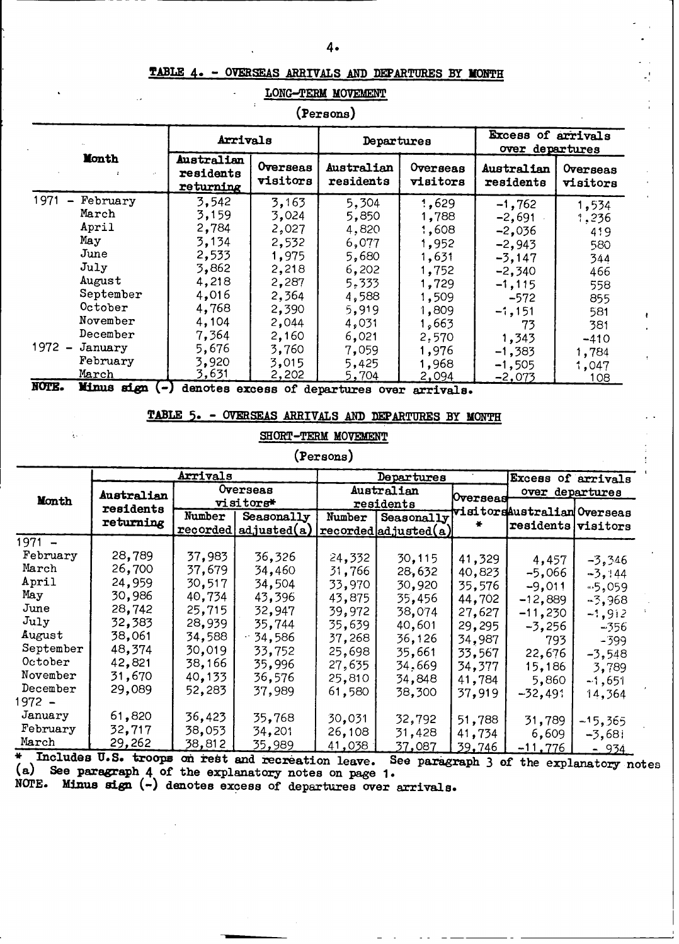## **TABLE 4. - OVERSEAS ARRIVALS AND DEPARTURES BY MONTH**

## **" LONG-TERM** MOVEMENT

| (Persons) |  |
|-----------|--|
|-----------|--|

|                                  |                | Arrivals                             |                      | Departures                          |                      | <b>Excess of arrivals</b><br>over departures |                      |  |
|----------------------------------|----------------|--------------------------------------|----------------------|-------------------------------------|----------------------|----------------------------------------------|----------------------|--|
|                                  | <b>Month</b>   | Australian<br>residents<br>returning | Overseas<br>visitors | Australian<br>residents             | Overseas<br>visitors | Australian<br>residents                      | Overseas<br>visitors |  |
| 1971<br>$\overline{\phantom{0}}$ | February       | 3,542                                | 3,163                | 5,304                               | 1,629                | $-1,762$                                     | 1,534                |  |
|                                  | March          | 3,159                                | 3,024                | 5,850                               | 1,788                | $-2,691$                                     | 1,236                |  |
|                                  | April          | 2,784                                | 2,027                | 4,820                               | 1,608                | $-2,036$                                     | 419                  |  |
|                                  | May            | 3,134                                | 2,532                | 6,077                               | 1,952                | $-2,943$                                     | 580                  |  |
|                                  | June           | 2,533                                | 1,975                | 5,680                               | 1,631                | $-3,147$                                     | 344                  |  |
|                                  | July           | 3,862                                | 2,218                | 6,202                               | 1,752                | $-2,340$                                     | 466                  |  |
|                                  | August         | 4,218                                | 2,287                | 5,333                               | 1,729                | $-1, 115$                                    | 558                  |  |
|                                  | September      | 4,016                                | 2,364                | 4,588                               | 1,509                | $-572$                                       | 855                  |  |
|                                  | October        | 4,768                                | 2,390                | 5,919                               | 1,809                | $-1,151$                                     | 581                  |  |
|                                  | November       | 4,104                                | 2,044                | 4,031                               | 1,663                | 73                                           | 381                  |  |
|                                  | December       | 7,364                                | 2,160                | 6,021                               | 2,570                | 1,343                                        | $-410$               |  |
| $1972 -$                         | January        | 5,676                                | 3,760                | 7,059                               | 1,976                | $-1,383$                                     | 1,784                |  |
|                                  | February       | 3,920                                | 3,015                | 5,425                               | 1,968                | $-1,505$                                     | 1,047                |  |
|                                  | March          | 3,631                                | 2,202                | 5,704                               | 2,094                | $-2,073$                                     | 108                  |  |
| NOTE.                            | Minus sign (-) |                                      |                      | denotes excess of departures over   | arrivals.            |                                              |                      |  |
|                                  |                | TABLE 5.                             |                      | OVERSEAS ARRIVALS AND DEPARTURES BY |                      | <b>MONTH</b>                                 |                      |  |

## **SHORT-TERM MOVEMENT**

t ÷

## **(Persons)**

|            |            | Arrivals |             |        | Departures                             |                 | Excess of arrivals          |               |  |
|------------|------------|----------|-------------|--------|----------------------------------------|-----------------|-----------------------------|---------------|--|
|            | Australian |          | Overseas    |        | Australian                             | <b>Overseas</b> | over departures             |               |  |
| Month      | residents  |          | visitors*   |        | residents                              |                 | visitorsAustralian Overseas |               |  |
|            | returning  | Number   | Seasonally  | Number | Seasonally                             |                 | residents visitors          |               |  |
|            |            | recorded | adjusted(a) |        | $ \mathtt{recovered} $ adjusted $(a) $ |                 |                             |               |  |
| $1971 -$   |            |          |             |        |                                        |                 |                             |               |  |
| February   | 28,789     | 37,983   | 36,326      | 24,332 | 30,115                                 | 41,329          | 4,457                       | $-3,346$      |  |
| March      | 26,700     | 37,679   | 34,460      | 31,766 | 28,632                                 | 40,823          | -5,066                      | $-3, 144$     |  |
| April      | 24,959     | 30,517   | 34,504      | 33.970 | 30,920                                 | 35,576          | $-9,011$                    | $-5,059$      |  |
| May        | 30,986     | 40,734   | 43,396      | 43,875 | 35,456                                 | 44,702          | $-12,889$                   | $-3,968$      |  |
| June       | 28,742     | 25,715   | 32,947      | 39,972 | 38,074                                 | 27,627          | $-11,230$                   | $-1,912$      |  |
| July       | 32,383     | 28,939   | 35,744      | 35,639 | 40,601                                 | 29,295          | $-3,256$                    | -356          |  |
| August     | 38,061     | 34,588   | 34,586      | 37,268 | 36,126                                 | 34,987          | 793                         | -399          |  |
| September  | 48,374     | 30,019   | 33,752      | 25,698 | 35,661                                 | 33,567          | 22,676                      | -3,548        |  |
| $0$ ctober | 42,821     | 38,166   | 35,996      | 27,635 | 34,669                                 | 34,377          | 15,186                      | 3,789         |  |
| November   | 31,670     | 40,133   | 36,576      | 25,810 | 34,848                                 | 41,784          | 5,860                       | -1,651        |  |
| December   | 29,089     | 52,283   | 37,989      | 61,580 | 38,300                                 | 37,919          | $-32,491$                   | 14,364        |  |
| 1972 –     |            |          |             |        |                                        |                 |                             |               |  |
| January    | 61,820     | 36,423   | 35,768      | 30,031 | 32,792                                 | 51,788          | 31,789                      | $-15,365$     |  |
| February   | 32,717     | 38,053   | 34,201      | 26,108 | 31,428                                 | 41,734          | 6,609                       | $-3,681$      |  |
| March      | 29,262     | 38,812   | 35,989      | 41,038 | <u>37,087</u>                          | <u>39,746 </u>  | $-11,776$                   | <u>- 934 </u> |  |

**J ncludes u..** troops on **rest** and recreation leave. **See paragr (a) See paragraph** 4 **of the** explanatory notes on **page 1. aph 3 of the explanatory notes**

NOTE. **Minus sign** (-) **denotes excess** of departures over arrivals.

Ą.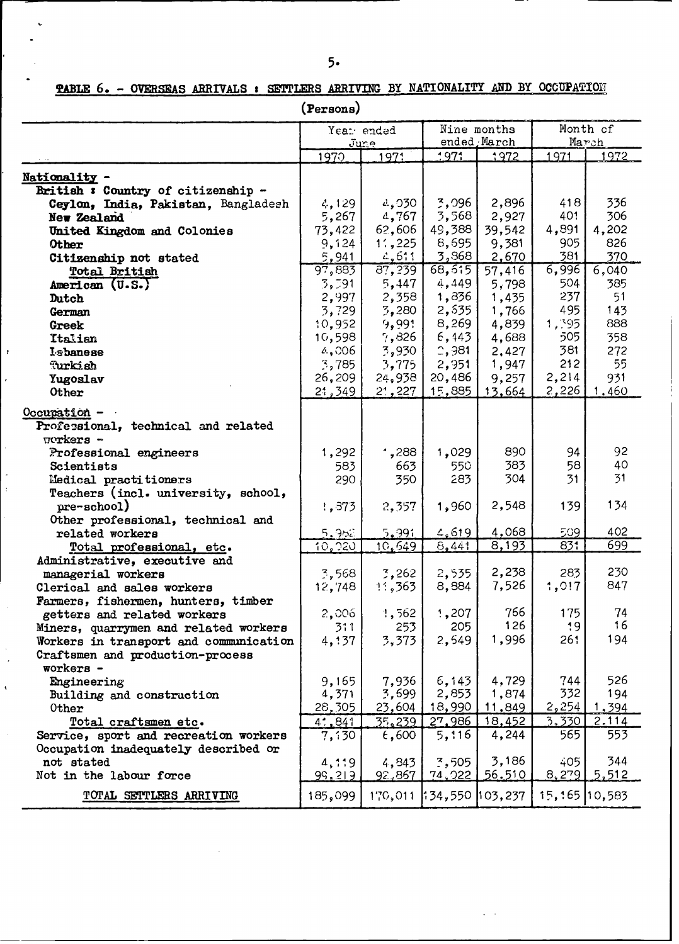**TABLE 6. - OVERSEAS ABRIVALS** : **SETTLERS ARRIVING BY NATIONALITY AND BY OCCUPAt'IOiI**

|                                        | (Persons)           |                      |                 |                             |               |                   |  |
|----------------------------------------|---------------------|----------------------|-----------------|-----------------------------|---------------|-------------------|--|
|                                        |                     | Year ended<br>June   |                 | Nine months<br>ended, March |               | Month of<br>March |  |
|                                        | 1970                | 1971                 | 1971            | 1972                        | 1971          | 1972              |  |
| Nationality -                          |                     |                      |                 |                             |               |                   |  |
| British: Country of citizenship -      |                     |                      |                 |                             |               |                   |  |
| Ceylon, India, Pakistan, Bangladesh    | 4,129               | 4,030                | 3,096           | 2,896                       | 418           | 336               |  |
| New Zealand                            | 5,267               | 4,767                | 3,568           | 2,927                       | 401           | 306               |  |
| United Kingdom and Colonies            | 73,422              | 62,606               | 49,388          | 39,542                      | 4,891         | 4,202             |  |
| Other                                  | 9,124               | 11, 225              | 8,695           | 9,381                       | 905           | 826               |  |
| Citizenship not stated                 | 5,941               | 2,511                | 3,868           | 2,670                       | 381           | 370               |  |
| Total British                          | 97,883              | $\overline{87, 239}$ | 68, 515         | 57,416                      | 6,996         | 6,040             |  |
| American (U.S.)                        | 3,591               | 5,447                | 4,449           | 5,798                       | 504           | 385               |  |
| Dutch                                  | 2,997               | 2,358                | 1,836           | 1,435                       | 237           | 51                |  |
| German                                 | 3,729               | 3,280                | 2,535           | 1,766                       | 495           | 143               |  |
| Greek                                  | 10,952              | 9,991                | 8,269           | 4,839                       | 1,395         | 888               |  |
| Italian                                | 10,598              | 7,826                | 6,443           | 4,688                       | 505.          | 358               |  |
| Iebanese                               | 4,006               | 3,930                | 2,981           | 2,427                       | 381           | 272               |  |
| Turkish                                | $\frac{3}{2}$ , 785 | 3,775                | 2,951           | 1,947                       | 212           | 55                |  |
| Yugoslav                               | 26,209              | 24,938               | 20,486          | 9,257                       | 2,214         | 931               |  |
| Other                                  | 21,349              | 21,227               | 15,885          | 13,664                      | 2,226         | 1.460             |  |
| Occupation -                           |                     |                      |                 |                             |               |                   |  |
| Professional, technical and related    |                     |                      |                 |                             |               |                   |  |
| $\pi$ orkers -                         |                     |                      |                 |                             |               |                   |  |
| Professional engineers                 | 1,292               | $^{\prime}$ , 288    | 1,029           | 890                         | 94            | 92                |  |
| Scientists                             | 583                 | 663                  | 550             | 383                         | 58            | 40                |  |
| Medical practitioners                  | 290                 | 350                  | 283             | 304                         | 31            | 31                |  |
| Teachers (incl. university, school,    |                     |                      |                 |                             |               |                   |  |
| pre-school)                            | 1,373               | 2,357                | 1,960           | 2,548                       | 139           | 134               |  |
| Other professional, technical and      |                     |                      |                 |                             |               |                   |  |
| related workers                        | 5.952               | 5,991                | 4,619           | 4,068                       | 509           | 402               |  |
| Total professional, etc.               | 10,220              | 10,549               | 6,441           | 8,193                       | 831           | 699               |  |
| Administrative, executive and          |                     |                      |                 |                             |               |                   |  |
| managerial workers                     | $\frac{7}{2}$ , 568 | 3,262                | 2,535           | 2,238                       | 283           | 230               |  |
| Clerical and sales workers             | 12,748              | 11,363               | 8,884           | 7,526                       | 1,017         | 847               |  |
| Farmers, fishermen, hunters, timber    |                     |                      |                 |                             |               |                   |  |
| getters and related workers            | 2,006               | 1,562                | 1,207           | 766                         | 175           | 74                |  |
| Miners, quarrymen and related workers  | 311                 | 253                  | 205             | 126                         | 19            | 16                |  |
| Workers in transport and communication | 4,137               | 3,373                | 2,549           | 1,996                       | 261           | 194               |  |
| Craftsmen and production-process       |                     |                      |                 |                             |               |                   |  |
| workers -                              |                     |                      |                 |                             |               |                   |  |
| Engineering                            | 9,165               | 7,936                | 6, 143          | 4,729                       | 744           | 526               |  |
| Building and construction              | 4,371               | 3,699                | 2,853           | 1,874                       | 332           | 194               |  |
| Other                                  | 28,305              | 23,604               | 18,990          | 11,849                      | 2,254         | 1,394             |  |
| Total craftsmen etc.                   | 4.841               | 35,239               | 27,986          | 18,452                      | 3.330         | 2.114             |  |
| Service, sport and recreation workers  | 7,130               | 6,600                | 5,116           | 4,244                       | 565           | 553               |  |
| Occupation inadequately described or   |                     |                      | 7,505           | 3,186                       | 405           | 344               |  |
| not stated<br>Not in the labour force  | 4,119               | 4,843                | 74,022          | 56.510                      | 8,279         | 5,512             |  |
|                                        | 99.219              | 92,867               |                 |                             |               |                   |  |
| TOTAL SETTLERS ARRIVING                | 185,099             | 170,011              | 134,550 103,237 |                             | 15,165 10,583 |                   |  |

**1. 1** \_\_\_\_\_\_\_\_\_ **U** -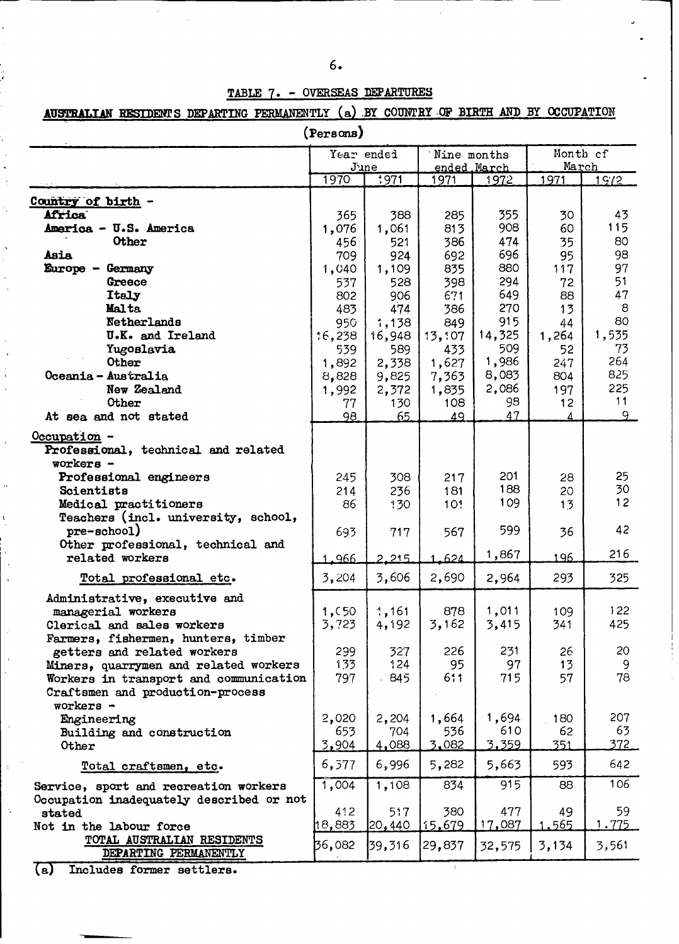| ۰.<br>۰.<br>٧<br>۰,<br>S<br>c<br>- 1 | I<br>I |
|--------------------------------------|--------|
|                                      |        |

# **TABLE 7.** - **OVERSEAS DEPARTURES**

 $\mathcal{L}$ 

# AUSTRALIAN RESIDENTS DEPARTING PERMANENTLY (a) BY COUNTRY OF BIRTH AND BY OCCUPATION

**(Persons)**

|                                          |        | Year ended<br>June | Nine months<br><u>ended March</u> |               | Month cf<br>March |              |
|------------------------------------------|--------|--------------------|-----------------------------------|---------------|-------------------|--------------|
|                                          | 1970   | 1971               | 1971                              | 1972          | 1971              | 19/2         |
|                                          |        |                    |                                   |               |                   |              |
| Country of birth -<br><b>Africa</b>      | 365    | 388                | 285                               | 355           | 30                | 43           |
| America - U.S. America                   | 1,076  | 1,061              | 813                               | 908           | 60                | 115          |
| Other                                    | 456    | 521                | 386                               | 474           | 35                | 80           |
| Asia                                     | 709    | 924                | 692                               | 696           | 95                | 98           |
| Europe - Germany                         | 1,040  | 1,109              | 835                               | 880           | 117               | 97           |
| Greece                                   | 537    | 528                | 398                               | 294           | 72                | 51           |
| <b>Italy</b>                             | 802    | 906                | 671                               | 649           | 88                | 47           |
| <b>Malta</b>                             | 483    | 474                | 386                               | 270           | 13                | 8            |
| Netherlands                              | 950    | 1,138              | 849                               | 915           | 44                | 80           |
| U.K. and Ireland                         | 16,238 | 16,948             | 13,107                            | 14,325        | 1,264             | 1,535        |
| Yugoslavia                               | 539    | 589                | 433                               | 509           | 52                | 73           |
| Other                                    | 1,892  | 2,338              | 1,627                             | 1,986         | 247               | 264          |
| Oceania - Australia                      | 8,828  | 9,825              | 7,363                             | 8,083         | 804               | 825          |
| New Zealand                              | 1,992  | 2,372              | 1,835                             | 2,086         | 197               | 225          |
| Other                                    | 77     | 130                | 108                               | 98            | 12                | 11           |
| At sea and not stated                    | 98     | 65                 | 49                                | 47            | Λ                 | 9            |
| $Occupation -$                           |        |                    |                                   |               |                   |              |
| Professional, technical and related      |        |                    |                                   |               |                   |              |
| $workers -$                              |        |                    |                                   |               |                   |              |
| Professional engineers                   | 245    | 308                | 217                               | 201           | 28                | 25           |
| Scientists                               | 214    | 236                | 181                               | 188           | 20                | 30           |
| Medical practitioners                    | 86     | 130                | 10 <sub>1</sub>                   | 109           | 13                | 12           |
| Teachers (incl. university, school,      |        |                    |                                   |               |                   |              |
| $pre-echoo1)$                            | 693    | 717                | 567                               | 599           | 36                | 42           |
| Other professional, technical and        |        |                    |                                   |               |                   |              |
| related workers                          | 1.966  | 2.215              | 1.624                             | 1,867         | 196               | 216          |
| Total professional etc.                  | 3,204  | 3,606              | 2,690                             | 2,964         | 293               | 325          |
| Administrative, executive and            |        |                    |                                   |               |                   |              |
| managerial workers                       | 1,050  | 1,161              | 878                               | 1,011         | 109               | 122          |
| Clerical and sales workers               | 3,723  | 4,192              | 3,162                             | 3,415         | 341               | 425          |
| Farmers, fishermen, hunters, timber      |        |                    |                                   |               |                   |              |
| getters and related workers              | 299    | 327                | 226                               | 231           | 26                | 20           |
| Miners, quarrymen and related workers    | 133    | 124                | 95                                | 97            | 13                | 9            |
| Workers in transport and communication   | 797    | 845                | 611                               | 715           | 57                | 78           |
| Craftsmen and production-process         |        |                    |                                   |               |                   |              |
| workers -                                |        |                    |                                   |               |                   |              |
| Engineering                              | 2,020  | 2,204              | 1,664                             | 1,694         | 180               | 207          |
| Building and construction                | 653    | 704                | 536                               | 610           | 62                | 63           |
| Other                                    | 3,904  | 4,088              | 3,082                             | <u>3,359 </u> | 351               | <u>372 </u>  |
| Total craftsmen, etc.                    | 6,577  | 6,996              | 5,282                             | 5,663         | 593               | 642          |
| Service, sport and recreation workers    | 1,004  | 1,108              | 834                               | 915           | 88                | 106          |
| Occupation inadequately described or not |        |                    |                                   |               |                   |              |
| stated                                   | 412    | 517                | 380                               | 477           | 49                | 59           |
| Not in the labour force                  | 18,883 | 20,440             | 15,679                            | 17,087        | 1.565             | <u>1.775</u> |
| TOTAL AUSTRALIAN RESIDENTS               | 36,082 | 39,316             | 29,837                            | 32,575        | 3,134             | 3,561        |
| DEPARTING PERMANENTLY                    |        |                    |                                   |               |                   |              |

**(a) Includes former settlers.**

 $\ddot{\phantom{a}}$ 

 $\ddot{\phantom{0}}$ 

 $\frac{1}{\epsilon}$ 

 $\ddot{\phantom{a}}$ 

 $\ddot{\phantom{a}}$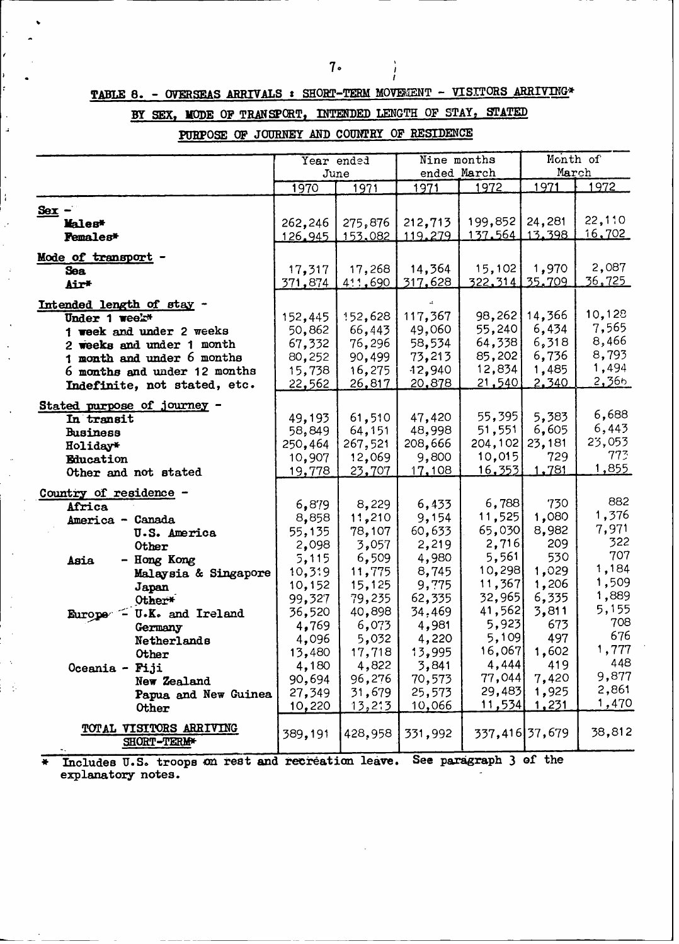Ì

# TABLE 8. - OVERSEAS ARRIVALS : SHORT-TERM MOVEMENT - VISITORS ARRIVING\*

## **BY SEX, MODE OF TRANSPORT, INTENDED LENGTH OF STAY, STATED**

PURPOSE OF JOURNEY AND COUNTRY OF RESIDENCE

J.

 $\bullet$ 

|                                                                                                                                                                                                   | Year ended<br>June                                        |                                                           | Nine months<br>ended March                                |                                                                 | Month of<br>March                                   |                                                     |
|---------------------------------------------------------------------------------------------------------------------------------------------------------------------------------------------------|-----------------------------------------------------------|-----------------------------------------------------------|-----------------------------------------------------------|-----------------------------------------------------------------|-----------------------------------------------------|-----------------------------------------------------|
|                                                                                                                                                                                                   | 1970                                                      | 1971                                                      | 1971                                                      | 1972                                                            | 1971                                                | 1972                                                |
| $Sex -$<br>Males*<br><b>Females*</b>                                                                                                                                                              | 262,246<br>126.945                                        | 275,876<br>153,082                                        | 212,713<br>119.279                                        | 199,852<br>137.564 13.398                                       | 24,281                                              | 22,110<br>16,702                                    |
| Mode of transport<br><b>Sea</b><br><b>Air*</b>                                                                                                                                                    | 17.317<br>371,874                                         | 17,268<br>411,690                                         | 14,364<br>317,628                                         | 15,102<br><u>322.314 l</u>                                      | 1,970<br>35,709                                     | 2,087<br><u>36.725 </u>                             |
| Intended length of stay -<br>Under 1 week*<br>1 week and under 2 weeks<br>2 weeks and under 1 month<br>1 month and under 6 months<br>6 months and under 12 months<br>Indefinite, not stated, etc. | 152,445<br>50,862<br>67,332<br>80,252<br>15,738<br>22,562 | 152,628<br>66,443<br>76,296<br>90,499<br>16,275<br>26,817 | 117,367<br>49,060<br>58,534<br>73,213<br>12,940<br>20,878 | 98,262<br>55,240<br>64,338<br>85,202<br>12,834<br><u>21,540</u> | 14,366<br>6,434<br>6,318<br>6,736<br>1,485<br>2,340 | 10,128<br>7,565<br>8,466<br>8,793<br>1,494<br>2,366 |
| Stated purpose of journey -<br>In transit<br><b>Business</b><br>Holiday*<br>Education<br>Other and not stated                                                                                     | 49,193<br>58,849<br>250,464<br>10,907<br>19,778           | 61,510<br>64,151<br>267,521<br>12,069<br>23,707           | 47,420<br>48,998<br>208,666<br>9,800<br>17,108            | 55,395<br>51,551<br>204,102<br>10,015<br><u>16,353</u>          | 5,383<br>6,605<br>23,181<br>729<br>1,781            | 6,688<br>6,443<br>23,053<br>773<br><u>1,855</u>     |
| Country of residence -<br>Africa<br>America - Canada<br>U.S. America                                                                                                                              | 6,879<br>8,858<br>55,135                                  | 8,229<br>11,210<br>78,107                                 | 6,433<br>9,154<br>60,633                                  | 6,788<br>11,525<br>65,030                                       | 730<br>1,080<br>8,982                               | 882<br>1,376<br>7,971                               |
| Other<br>- Hong Kong<br>Asia<br>Malaysia & Singapore<br>Japan                                                                                                                                     | 2,098<br>5,115<br>10,319<br>10,152                        | 3,057<br>6,509<br>11,775<br>15,125                        | 2,219<br>4,980<br>8,745<br>9,775                          | 2,716<br>5,561<br>10,298<br>11,367                              | 209<br>530<br>1,029<br>1,206                        | 322<br>707<br>1,184<br>1,509                        |
| Other*<br>Europe - U.K. and Ireland<br>Germany<br>Netherlands                                                                                                                                     | 99,327<br>36,520<br>4,769<br>4,096                        | 79,235<br>40,898<br>6,073<br>5,032                        | 62,335<br>34.469<br>4,981<br>4,220                        | 32,965<br>41,562<br>5,923<br>5,109                              | 6,335<br>3,811<br>673<br>497<br>16,067 1,602        | 1,889<br>5,155<br>708<br>676<br>1,777               |
| Other<br>Oceania - Fiji<br>New Zealand<br>Papua and New Guinea<br>Other                                                                                                                           | 13,480<br>4,180<br>90,694<br>27,349<br>10,220             | 17,718<br>4,822<br>96,276<br>31,679<br>13,213             | 13,995<br>3,841<br>70,573<br>25,573<br>10,066             | 4,444<br>77,044<br>29,483<br>11,534                             | 419<br>7,420<br>1,925<br><u>1,231</u>               | 448<br>9,877<br>2,861<br>1,470                      |
| TOTAL VISITORS ARRIVING<br>SHORT-TERM*                                                                                                                                                            | 389,191                                                   | 428,958                                                   | 331,992                                                   |                                                                 | 337,416 37,679                                      | 38,812                                              |

\_\_\_\_\_\_\_\_\_\_\_\_\_\_\_\_\_\_\_\_\_\_\_\_\_\_\_ **I** \_\_\_\_\_\_ **£ 1** - <sup>S</sup> **\* Includes U.-S. troops cn teat and reekeation leave. See paragraph 3 of theexplanatory notes.**